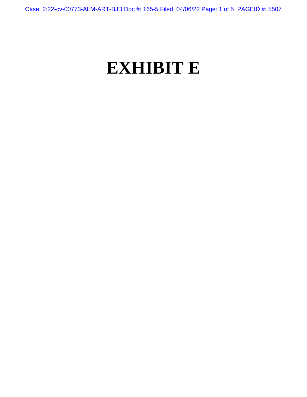Case: 2:22-cv-00773-ALM-ART-BJB Doc #: 165-5 Filed: 04/06/22 Page: 1 of 5 PAGEID #: 5507

## **EXHIBIT E**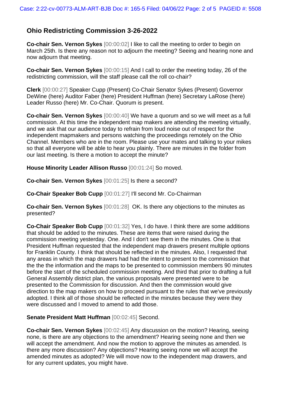## **Ohio Redistricting Commission 3-26-2022**

**Co-chair Sen. Vernon Sykes** [00:00:02] I like to call the meeting to order to begin on March 25th. Is there any reason not to adjourn the meeting? Seeing and hearing none and now adjourn that meeting.

**Co-chair Sen. Vernon Sykes** [00:00:15] And I call to order the meeting today, 26 of the redistricting commission, will the staff please call the roll co-chair?

**Clerk** [00:00:27] Speaker Cupp (Present) Co-Chair Senator Sykes (Present) Governor DeWine (here) Auditor Faber (here) President Huffman (here) Secretary LaRose (here) Leader Russo (here) Mr. Co-Chair. Quorum is present.

**Co-chair Sen. Vernon Sykes** [00:00:40] We have a quorum and so we will meet as a full commission. At this time the independent map makers are attending the meeting virtually, and we ask that our audience today to refrain from loud noise out of respect for the independent mapmakers and persons watching the proceedings remotely on the Ohio Channel. Members who are in the room. Please use your mates and talking to your mikes so that all everyone will be able to hear you plainly. There are minutes in the folder from our last meeting. Is there a motion to accept the minute?

**House Minority Leader Allison Russo** [00:01:24] So moved.

**Co-chair Sen. Vernon Sykes** [00:01:25] Is there a second?

**Co-Chair Speaker Bob Cupp** [00:01:27] I'll second Mr. Co-Chairman

**Co-chair Sen. Vernon Sykes** [00:01:28] OK. Is there any objections to the minutes as presented?

**Co-Chair Speaker Bob Cupp** [00:01:32] Yes, I do have. I think there are some additions that should be added to the minutes. These are items that were raised during the commission meeting yesterday. One. And I don't see them in the minutes. One is that President Huffman requested that the independent map drawers present multiple options for Franklin County. I think that should be reflected in the minutes. Also, I requested that any areas in which the map drawers had had the intent to present to the commission that the the the information and the maps to be presented to commission members 90 minutes before the start of the scheduled commission meeting. And third that prior to drafting a full General Assembly district plan, the various proposals were presented were to be presented to the Commission for discussion. And then the commission would give direction to the map makers on how to proceed pursuant to the rules that we've previously adopted. I think all of those should be reflected in the minutes because they were they were discussed and I moved to amend to add those.

## **Senate President Matt Huffman** [00:02:45] Second.

**Co-chair Sen. Vernon Sykes** [00:02:45] Any discussion on the motion? Hearing, seeing none, is there are any objections to the amendment? Hearing seeing none and then we will accept the amendment. And now the motion to approve the minutes as amended. Is there any more discussion? Any objections? Hearing seeing none we will accept the amended minutes as adopted? We will move now to the independent map drawers, and for any current updates, you might have.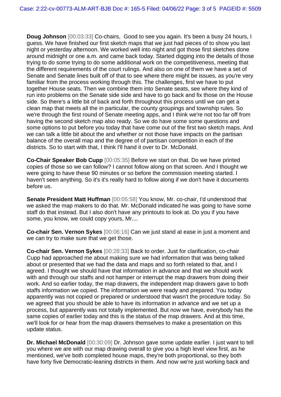**Doug Johnson** [00:03:33] Co-chairs, Good to see you again. It's been a busy 24 hours, I guess. We have finished our first sketch maps that we just had pieces of to show you last night or yesterday afternoon. We worked well into night and got those first sketches done around midnight or one a.m. and came back today. Started digging into the details of those trying to do some trying to do some additional work on the competitiveness, meeting that the different requirements of the court rulings. And also on one of them we have a set of Senate and Senate lines built off of that to see where there might be issues, as you're very familiar from the process working through this. The challenges, first we have to put together House seats. Then we combine them into Senate seats, see where they kind of run into problems on the Senate side side and have to go back and fix those on the House side. So there's a little bit of back and forth throughout this process until we can get a clean map that meets all the in particular, the county groupings and township rules. So we're through the first round of Senate meeting apps, and I think we're not too far off from having the second sketch map also ready. So we do have some some questions and some options to put before you today that have come out of the first two sketch maps. And we can talk a little bit about the and whether or not those have impacts on the partisan balance of the overall map and the degree of of partisan competition in each of the districts. So to start with that, I think I'll hand it over to Dr. McDonald.

**Co-Chair Speaker Bob Cupp** [00:05:35] Before we start on that. Do we have printed copies of those so we can follow? I cannot follow along on that screen. And I thought we were going to have these 90 minutes or so before the commission meeting started. I haven't seen anything. So it's it's really hard to follow along if we don't have it documents before us.

**Senate President Matt Huffman** [00:05:58] You know, Mr. co-chair, I'd understood that we asked the map makers to do that. Mr. McDonald indicated he was going to have some staff do that instead. But I also don't have any printouts to look at. Do you if you have some, you know, we could copy yours, Mr....

**Co-chair Sen. Vernon Sykes** [00:06:16] Can we just stand at ease in just a moment and we can try to make sure that we get those.

**Co-chair Sen. Vernon Sykes** [00:28:33] Back to order. Just for clarification, co-chair Cupp had approached me about making sure we had information that was being talked about or presented that we had the data and maps and so forth related to that, and I agreed. I thought we should have that information in advance and that we should work with and through our staffs and not hamper or interrupt the map drawers from doing their work. And so earlier today, the map drawers, the independent map drawers gave to both staffs information we copied. The information we were ready and prepared. You today apparently was not copied or prepared or understood that wasn't the procedure today. So we agreed that you should be able to have its information in advance and we set up a process, but apparently was not totally implemented. But now we have, everybody has the same copies of earlier today and this is the status of the map drawers. And at this time, we'll look for or hear from the map drawers themselves to make a presentation on this update status.

**Dr. Michael McDonald** [00:30:09] Dr. Johnson gave some update earlier. I just want to tell you where we are with our map drawing overall to give you a high level view first, as he mentioned, we've both completed house maps, they're both proportional, so they both have forty five Democratic-leaning districts in them. And now we're just working back and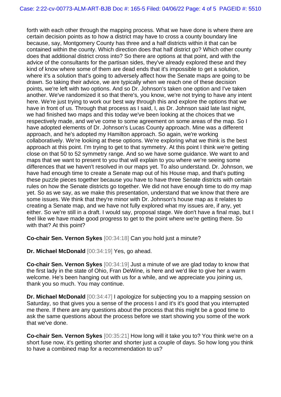forth with each other through the mapping process. What we have done is where there are certain decision points as to how a district may have to cross a county boundary line because, say, Montgomery County has three and a half districts within it that can be contained within the county. Which direction does that half district go? Which other county does that additional district cross into? So there are options at that point, and with the advice of the consultants for the partisan sides, they've already explored these and they kind of know where some of them are dead ends that it's impossible to get a solution, where it's a solution that's going to adversely affect how the Senate maps are going to be drawn. So taking their advice, we are typically when we reach one of these decision points, we're left with two options. And so Dr. Johnson's taken one option and I've taken another. We've randomized it so that there's, you know, we're not trying to have any intent here. We're just trying to work our best way through this and explore the options that we have in front of us. Through that process as I said, I, as Dr. Johnson said late last night, we had finished two maps and this today we've been looking at the choices that we respectively made, and we've come to some agreement on some areas of the map. So I have adopted elements of Dr. Johnson's Lucas County approach. Mine was a different approach, and he's adopted my Hamilton approach. So again, we're working collaboratively. We're looking at these options. We're exploring what we think is the best approach at this point. I'm trying to get to that symmetry. At this point I think we're getting close on that 50 to 52 symmetry range. And so we have some guidance. We want to and maps that we want to present to you that will explain to you where we're seeing some differences that we haven't resolved in our maps yet. To also understand. Dr. Johnson, we have had enough time to create a Senate map out of his House map, and that's putting these puzzle pieces together because you have to have three Senate districts with certain rules on how the Senate districts go together. We did not have enough time to do my map yet. So as we say, as we make this presentation, understand that we know that there are some issues. We think that they're minor with Dr. Johnson's house map as it relates to creating a Senate map, and we have not fully explored what my issues are, if any, yet either. So we're still in a draft. I would say, proposal stage. We don't have a final map, but I feel like we have made good progress to get to the point where we're getting there. So with that? At this point?

**Co-chair Sen. Vernon Sykes** [00:34:18] Can you hold just a minute?

**Dr. Michael McDonald** [00:34:19] Yes, go ahead.

**Co-chair Sen. Vernon Sykes** [00:34:19] Just a minute of we are glad today to know that the first lady in the state of Ohio, Fran DeWine, is here and we'd like to give her a warm welcome. He's been hanging out with us for a while, and we appreciate you joining us, thank you so much. You may continue.

**Dr. Michael McDonald** [00:34:47] I apologize for subjecting you to a mapping session on Saturday, so that gives you a sense of the process I and it's it's good that you interrupted me there. If there are any questions about the process that this might be a good time to ask the same questions about the process before we start showing you some of the work that we've done.

**Co-chair Sen. Vernon Sykes** [00:35:21] How long will it take you to? You think we're on a short fuse now, it's getting shorter and shorter just a couple of days. So how long you think to have a combined map for a recommendation to us?